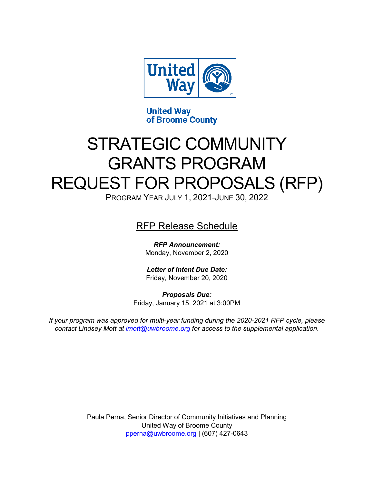

**United Way** of Broome County

# STRATEGIC COMMUNITY GRANTS PROGRAM REQUEST FOR PROPOSALS (RFP)

PROGRAM YEAR JULY 1, 2021-JUNE 30, 2022

RFP Release Schedule

*RFP Announcement:*  Monday, November 2, 2020

*Letter of Intent Due Date:* Friday, November 20, 2020

*Proposals Due:*  Friday, January 15, 2021 at 3:00PM

*If your program was approved for multi-year funding during the 2020-2021 RFP cycle, please contact Lindsey Mott at [lmott@uwbroome.org](mailto:lmott@uwbroome.org) for access to the supplemental application.*

> Paula Perna, Senior Director of Community Initiatives and Planning United Way of Broome County [pperna@uwbroome.org](mailto:pperna@uwbroome.org) | (607) 427-0643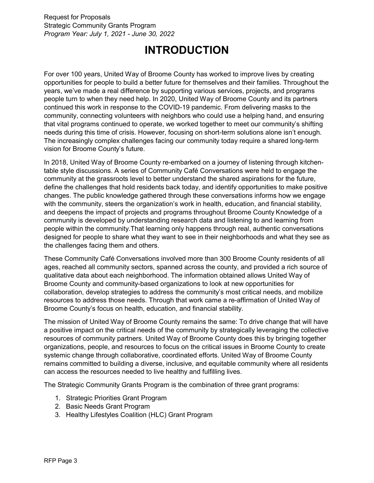## **INTRODUCTION**

<span id="page-2-0"></span>For over 100 years, United Way of Broome County has worked to improve lives by creating opportunities for people to build a better future for themselves and their families. Throughout the years, we've made a real difference by supporting various services, projects, and programs people turn to when they need help. In 2020, United Way of Broome County and its partners continued this work in response to the COVID-19 pandemic. From delivering masks to the community, connecting volunteers with neighbors who could use a helping hand, and ensuring that vital programs continued to operate, we worked together to meet our community's shifting needs during this time of crisis. However, focusing on short-term solutions alone isn't enough. The increasingly complex challenges facing our community today require a shared long-term vision for Broome County's future.

In 2018, United Way of Broome County re-embarked on a journey of listening through kitchentable style discussions. A series of Community Café Conversations were held to engage the community at the grassroots level to better understand the shared aspirations for the future, define the challenges that hold residents back today, and identify opportunities to make positive changes. The public knowledge gathered through these conversations informs how we engage with the community, steers the organization's work in health, education, and financial stability, and deepens the impact of projects and programs throughout Broome County Knowledge of a community is developed by understanding research data and listening to and learning from people within the community.That learning only happens through real, authentic conversations designed for people to share what they want to see in their neighborhoods and what they see as the challenges facing them and others.

These Community Café Conversations involved more than 300 Broome County residents of all ages, reached all community sectors, spanned across the county, and provided a rich source of qualitative data about each neighborhood. The information obtained allows United Way of Broome County and community-based organizations to look at new opportunities for collaboration, develop strategies to address the community's most critical needs, and mobilize resources to address those needs. Through that work came a re-affirmation of United Way of Broome County's focus on health, education, and financial stability.

The mission of United Way of Broome County remains the same: To drive change that will have a positive impact on the critical needs of the community by strategically leveraging the collective resources of community partners. United Way of Broome County does this by bringing together organizations, people, and resources to focus on the critical issues in Broome County to create systemic change through collaborative, coordinated efforts. United Way of Broome County remains committed to building a diverse, inclusive, and equitable community where all residents can access the resources needed to live healthy and fulfilling lives.

The Strategic Community Grants Program is the combination of three grant programs:

- 1. Strategic Priorities Grant Program
- 2. Basic Needs Grant Program
- 3. Healthy Lifestyles Coalition (HLC) Grant Program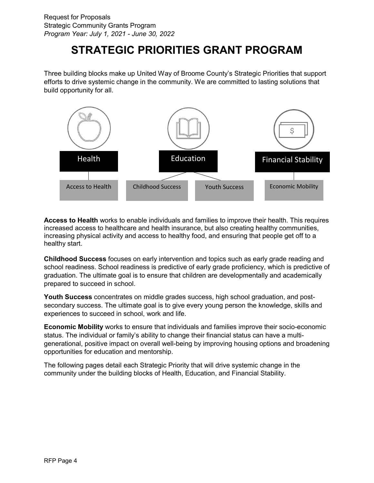## **STRATEGIC PRIORITIES GRANT PROGRAM**

<span id="page-3-0"></span>Three building blocks make up United Way of Broome County's Strategic Priorities that support efforts to drive systemic change in the community. We are committed to lasting solutions that build opportunity for all.



**Access to Health** works to enable individuals and families to improve their health. This requires increased access to healthcare and health insurance, but also creating healthy communities, increasing physical activity and access to healthy food, and ensuring that people get off to a healthy start.

**Childhood Success** focuses on early intervention and topics such as early grade reading and school readiness. School readiness is predictive of early grade proficiency, which is predictive of graduation. The ultimate goal is to ensure that children are developmentally and academically prepared to succeed in school.

**Youth Success** concentrates on middle grades success, high school graduation, and postsecondary success. The ultimate goal is to give every young person the knowledge, skills and experiences to succeed in school, work and life.

**Economic Mobility** works to ensure that individuals and families improve their socio-economic status. The individual or family's ability to change their financial status can have a multigenerational, positive impact on overall well-being by improving housing options and broadening opportunities for education and mentorship.

The following pages detail each Strategic Priority that will drive systemic change in the community under the building blocks of Health, Education, and Financial Stability.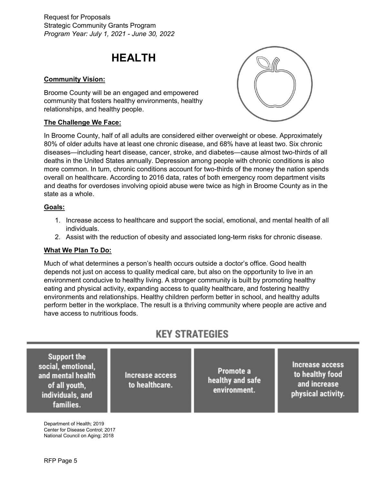## **HEALTH**

#### <span id="page-4-0"></span>**Community Vision:**

Broome County will be an engaged and empowered community that fosters healthy environments, healthy relationships, and healthy people.

#### **The Challenge We Face:**



In Broome County, half of all adults are considered either overweight or obese. Approximately 80% of older adults have at least one chronic disease, and 68% have at least two. Six chronic diseases—including heart disease, cancer, stroke, and diabetes—cause almost two-thirds of all deaths in the United States annually. Depression among people with chronic conditions is also more common. In turn, chronic conditions account for two-thirds of the money the nation spends overall on healthcare. According to 2016 data, rates of both emergency room department visits and deaths for overdoses involving opioid abuse were twice as high in Broome County as in the state as a whole.

#### **Goals:**

- 1. Increase access to healthcare and support the social, emotional, and mental health of all individuals.
- 2. Assist with the reduction of obesity and associated long-term risks for chronic disease.

## **What We Plan To Do:**

Much of what determines a person's health occurs outside a doctor's office. Good health depends not just on access to quality medical care, but also on the opportunity to live in an environment conducive to healthy living. A stronger community is built by promoting healthy eating and physical activity, expanding access to quality healthcare, and fostering healthy environments and relationships. Healthy children perform better in school, and healthy adults perform better in the workplace. The result is a thriving community where people are active and have access to nutritious foods.

## **KEY STRATEGIES**

**Support the Increase access** social, emotional, Promote a to healthy food and mental health Increase access healthy and safe and increase to healthcare. of all youth, environment. physical activity. individuals, and families.

Department of Health; 2019 Center for Disease Control; 2017 National Council on Aging; 2018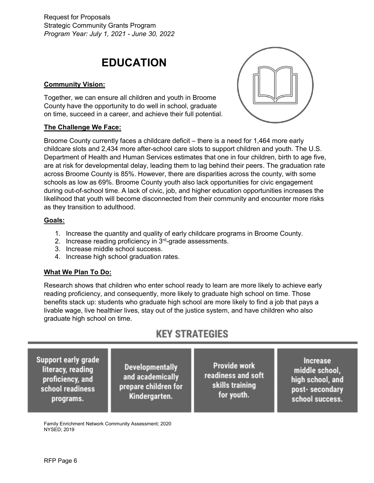## **EDUCATION**

## <span id="page-5-0"></span>**Community Vision:**

Together, we can ensure all children and youth in Broome County have the opportunity to do well in school, graduate on time, succeed in a career, and achieve their full potential.

### **The Challenge We Face:**



Broome County currently faces a childcare deficit – there is a need for 1,464 more early childcare slots and 2,434 more after-school care slots to support children and youth. The U.S. Department of Health and Human Services estimates that one in four children, birth to age five, are at risk for developmental delay, leading them to lag behind their peers. The graduation rate across Broome County is 85%. However, there are disparities across the county, with some schools as low as 69%. Broome County youth also lack opportunities for civic engagement during out-of-school time. A lack of civic, job, and higher education opportunities increases the likelihood that youth will become disconnected from their community and encounter more risks as they transition to adulthood.

### **Goals:**

- 1. Increase the quantity and quality of early childcare programs in Broome County.
- 2. Increase reading proficiency in 3<sup>rd</sup>-grade assessments.
- 3. Increase middle school success.
- 4. Increase high school graduation rates.

### **What We Plan To Do:**

Research shows that children who enter school ready to learn are more likely to achieve early reading proficiency, and consequently, more likely to graduate high school on time. Those benefits stack up: students who graduate high school are more likely to find a job that pays a livable wage, live healthier lives, stay out of the justice system, and have children who also graduate high school on time.

## **KEY STRATEGIES**

Support early grade literacy, reading proficiency, and school readiness programs.

**Developmentally** and academically prepare children for Kindergarten.

Provide work readiness and soft skills training for youth.

**Increase** middle school. high school, and post-secondary school success.

Family Enrichment Network Community Assessment; 2020 NYSED; 2019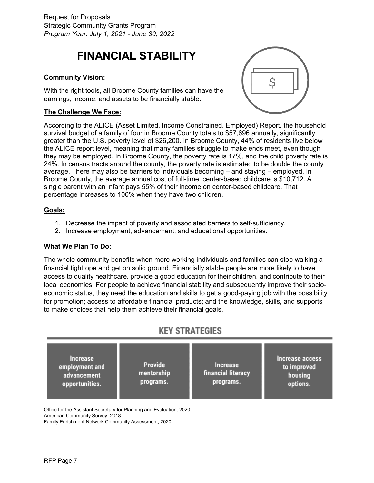## <span id="page-6-0"></span>**FINANCIAL STABILITY**

## **Community Vision:**

With the right tools, all Broome County families can have the earnings, income, and assets to be financially stable.

### **The Challenge We Face:**

According to the ALICE (Asset Limited, Income Constrained, Employed) Report, the household survival budget of a family of four in Broome County totals to \$57,696 annually, significantly greater than the U.S. poverty level of \$26,200. In Broome County, 44% of residents live below the ALICE report level, meaning that many families struggle to make ends meet, even though they may be employed. In Broome County, the poverty rate is 17%, and the child poverty rate is 24%. In census tracts around the county, the poverty rate is estimated to be double the county average. There may also be barriers to individuals becoming – and staying – employed. In Broome County, the average annual cost of full-time, center-based childcare is \$10,712. A single parent with an infant pays 55% of their income on center-based childcare. That percentage increases to 100% when they have two children.

### **Goals:**

- 1. Decrease the impact of poverty and associated barriers to self-sufficiency.
- 2. Increase employment, advancement, and educational opportunities.

### **What We Plan To Do:**

The whole community benefits when more working individuals and families can stop walking a financial tightrope and get on solid ground. Financially stable people are more likely to have access to quality healthcare, provide a good education for their children, and contribute to their local economies. For people to achieve financial stability and subsequently improve their socioeconomic status, they need the education and skills to get a good-paying job with the possibility for promotion; access to affordable financial products; and the knowledge, skills, and supports to make choices that help them achieve their financial goals.

## **KEY STRATEGIES**



Office for the Assistant Secretary for Planning and Evaluation; 2020 American Community Survey; 2018 Family Enrichment Network Community Assessment; 2020

Ś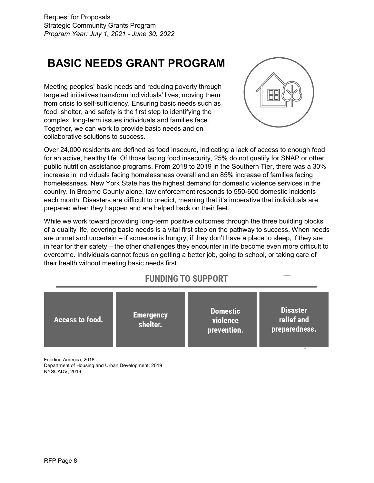## <span id="page-7-0"></span>**BASIC NEEDS GRANT PROGRAM**

Meeting peoples' basic needs and reducing poverty through targeted initiatives transform individuals' lives, moving them from crisis to self-sufficiency. Ensuring basic needs such as food, shelter, and safety is the first step to identifying the complex, long-term issues individuals and families face. Together, we can work to provide basic needs and on collaborative solutions to success.



Over 24,000 residents are defined as food insecure, indicating a lack of access to enough food for an active, healthy life. Of those facing food insecurity, 25% do not qualify for SNAP or other public nutrition assistance programs. From 2018 to 2019 in the Southern Tier, there was a 30% increase in individuals facing homelessness overall and an 85% increase of families facing homelessness. New York State has the highest demand for domestic violence services in the country. In Broome County alone, law enforcement responds to 550-600 domestic incidents each month. Disasters are difficult to predict, meaning that it's imperative that individuals are prepared when they happen and are helped back on their feet.

While we work toward providing long-term positive outcomes through the three building blocks of a quality life, covering basic needs is a vital first step on the pathway to success. When needs are unmet and uncertain – if someone is hungry, if they don't have a place to sleep, if they are in fear for their safety – the other challenges they encounter in life become even more difficult to overcome. Individuals cannot focus on getting a better job, going to school, or taking care of their health without meeting basic needs first.

## **FUNDING TO SUPPORT**

|--|

Feeding America; 2018 Department of Housing and Urban Development; 2019 NYSCADV; 2019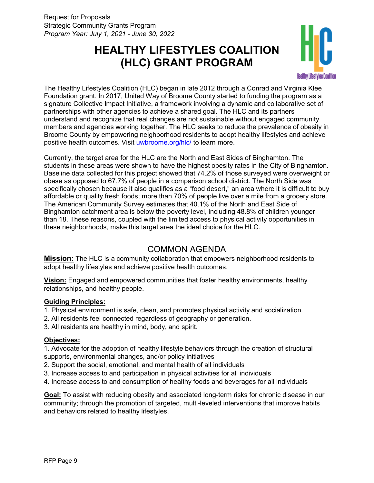## <span id="page-8-0"></span>**HEALTHY LIFESTYLES COALITION (HLC) GRANT PROGRAM**



The Healthy Lifestyles Coalition (HLC) began in late 2012 through a Conrad and Virginia Klee Foundation grant. In 2017, United Way of Broome County started to funding the program as a signature Collective Impact Initiative, a framework involving a dynamic and collaborative set of partnerships with other agencies to achieve a shared goal. The HLC and its partners understand and recognize that real changes are not sustainable without engaged community members and agencies working together. The HLC seeks to reduce the prevalence of obesity in Broome County by empowering neighborhood residents to adopt healthy lifestyles and achieve positive health outcomes. Visit [uwbroome.org/hlc/](http://www.uwbroome.org/hlc/) to learn more.

Currently, the target area for the HLC are the North and East Sides of Binghamton. The students in these areas were shown to have the highest obesity rates in the City of Binghamton. Baseline data collected for this project showed that 74.2% of those surveyed were overweight or obese as opposed to 67.7% of people in a comparison school district. The North Side was specifically chosen because it also qualifies as a "food desert," an area where it is difficult to buy affordable or quality fresh foods; more than 70% of people live over a mile from a grocery store. The American Community Survey estimates that 40.1% of the North and East Side of Binghamton catchment area is below the poverty level, including 48.8% of children younger than 18. These reasons, coupled with the limited access to physical activity opportunities in these neighborhoods, make this target area the ideal choice for the HLC.

## COMMON AGENDA

<span id="page-8-1"></span>**Mission:** The HLC is a community collaboration that empowers neighborhood residents to adopt healthy lifestyles and achieve positive health outcomes.

**Vision:** Engaged and empowered communities that foster healthy environments, healthy relationships, and healthy people.

## **Guiding Principles:**

- 1. Physical environment is safe, clean, and promotes physical activity and socialization.
- 2. All residents feel connected regardless of geography or generation.
- 3. All residents are healthy in mind, body, and spirit.

### **Objectives:**

1. Advocate for the adoption of healthy lifestyle behaviors through the creation of structural supports, environmental changes, and/or policy initiatives

- 2. Support the social, emotional, and mental health of all individuals
- 3. Increase access to and participation in physical activities for all individuals
- 4. Increase access to and consumption of healthy foods and beverages for all individuals

**Goal:** To assist with reducing obesity and associated long-term risks for chronic disease in our community; through the promotion of targeted, multi-leveled interventions that improve habits and behaviors related to healthy lifestyles.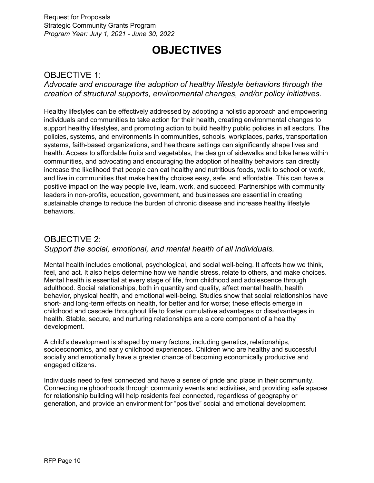## **OBJECTIVES**

## <span id="page-9-1"></span><span id="page-9-0"></span>OBJECTIVE 1:

*Advocate and encourage the adoption of healthy lifestyle behaviors through the creation of structural supports, environmental changes, and/or policy initiatives.*

Healthy lifestyles can be effectively addressed by adopting a holistic approach and empowering individuals and communities to take action for their health, creating environmental changes to support healthy lifestyles, and promoting action to build healthy public policies in all sectors. The policies, systems, and environments in communities, schools, workplaces, parks, transportation systems, faith-based organizations, and healthcare settings can significantly shape lives and health. Access to affordable fruits and vegetables, the design of sidewalks and bike lanes within communities, and advocating and encouraging the adoption of healthy behaviors can directly increase the likelihood that people can eat healthy and nutritious foods, walk to school or work, and live in communities that make healthy choices easy, safe, and affordable. This can have a positive impact on the way people live, learn, work, and succeed. Partnerships with community leaders in non-profits, education, government, and businesses are essential in creating sustainable change to reduce the burden of chronic disease and increase healthy lifestyle behaviors.

## <span id="page-9-2"></span>OBJECTIVE 2: *Support the social, emotional, and mental health of all individuals.*

Mental health includes emotional, psychological, and social well-being. It affects how we think, feel, and act. It also helps determine how we handle stress, relate to others, and make choices. Mental health is essential at every stage of life, from childhood and adolescence through adulthood. Social relationships, both in quantity and quality, affect mental health, health behavior, physical health, and emotional well-being. Studies show that social relationships have short- and long-term effects on health, for better and for worse; these effects emerge in childhood and cascade throughout life to foster cumulative advantages or disadvantages in health. Stable, secure, and nurturing relationships are a core component of a healthy development.

A child's development is shaped by many factors, including genetics, relationships, socioeconomics, and early childhood experiences. Children who are healthy and successful socially and emotionally have a greater chance of becoming economically productive and engaged citizens.

Individuals need to feel connected and have a sense of pride and place in their community. Connecting neighborhoods through community events and activities, and providing safe spaces for relationship building will help residents feel connected, regardless of geography or generation, and provide an environment for "positive" social and emotional development.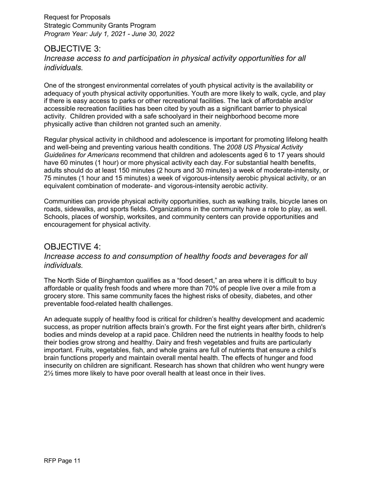## <span id="page-10-0"></span>OBJECTIVE 3: *Increase access to and participation in physical activity opportunities for all individuals.*

One of the strongest environmental correlates of youth physical activity is the availability or adequacy of youth physical activity opportunities. Youth are more likely to walk, cycle, and play if there is easy access to parks or other recreational facilities. The lack of affordable and/or accessible recreation facilities has been cited by youth as a significant barrier to physical activity. Children provided with a safe schoolyard in their neighborhood become more physically active than children not granted such an amenity.

Regular physical activity in childhood and adolescence is important for promoting lifelong health and well-being and preventing various health conditions. The *2008 US Physical Activity Guidelines for Americans* recommend that children and adolescents aged 6 to 17 years should have 60 minutes (1 hour) or more physical activity each day. For substantial health benefits, adults should do at least 150 minutes (2 hours and 30 minutes) a week of moderate-intensity, or 75 minutes (1 hour and 15 minutes) a week of vigorous-intensity aerobic physical activity, or an equivalent combination of moderate- and vigorous-intensity aerobic activity.

Communities can provide physical activity opportunities, such as walking trails, bicycle lanes on roads, sidewalks, and sports fields. Organizations in the community have a role to play, as well. Schools, places of worship, worksites, and community centers can provide opportunities and encouragement for physical activity.

## <span id="page-10-1"></span>OBJECTIVE 4: *Increase access to and consumption of healthy foods and beverages for all individuals.*

The North Side of Binghamton qualifies as a "food desert," an area where it is difficult to buy affordable or quality fresh foods and where more than 70% of people live over a mile from a grocery store. This same community faces the highest risks of obesity, diabetes, and other preventable food-related health challenges.

An adequate supply of healthy food is critical for children's healthy development and academic success, as proper nutrition affects brain's growth. For the first eight years after birth, children's bodies and minds develop at a rapid pace. Children need the nutrients in healthy foods to help their bodies grow strong and healthy. Dairy and fresh vegetables and fruits are particularly important. Fruits, vegetables, fish, and whole grains are full of nutrients that ensure a child's brain functions properly and maintain overall mental health. The effects of hunger and food insecurity on children are significant. Research has shown that children who went hungry were 2½ times more likely to have poor overall health at least once in their lives.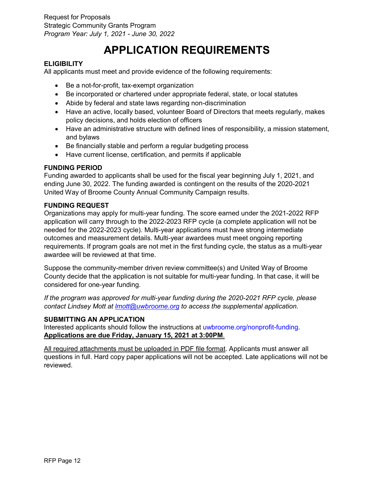## **APPLICATION REQUIREMENTS**

## <span id="page-11-1"></span><span id="page-11-0"></span>**ELIGIBILITY**

All applicants must meet and provide evidence of the following requirements:

- Be a not-for-profit, tax-exempt organization
- Be incorporated or chartered under appropriate federal, state, or local statutes
- Abide by federal and state laws regarding non-discrimination
- Have an active, locally based, volunteer Board of Directors that meets regularly, makes policy decisions, and holds election of officers
- Have an administrative structure with defined lines of responsibility, a mission statement, and bylaws
- Be financially stable and perform a regular budgeting process
- Have current license, certification, and permits if applicable

## <span id="page-11-2"></span>**FUNDING PERIOD**

Funding awarded to applicants shall be used for the fiscal year beginning July 1, 2021, and ending June 30, 2022. The funding awarded is contingent on the results of the 2020-2021 United Way of Broome County Annual Community Campaign results.

## <span id="page-11-3"></span>**FUNDING REQUEST**

Organizations may apply for multi-year funding. The score earned under the 2021-2022 RFP application will carry through to the 2022-2023 RFP cycle (a complete application will not be needed for the 2022-2023 cycle). Multi-year applications must have strong intermediate outcomes and measurement details. Multi-year awardees must meet ongoing reporting requirements. If program goals are not met in the first funding cycle, the status as a multi-year awardee will be reviewed at that time.

Suppose the community-member driven review committee(s) and United Way of Broome County decide that the application is not suitable for multi-year funding. In that case, it will be considered for one-year funding.

*If the program was approved for multi-year funding during the 2020-2021 RFP cycle, please contact Lindsey Mott at [lmott@uwbroome.org](mailto:lmott@uwbroome.org) to access the supplemental application.*

## <span id="page-11-4"></span>**SUBMITTING AN APPLICATION**

Interested applicants should follow the instructions at [uwbroome.org/nonprofit-funding.](https://www.uwbroome.org/nonprofit-funding/) **Applications are due Friday, January 15, 2021 at 3:00PM**.

All required attachments must be uploaded in PDF file format. Applicants must answer all questions in full. Hard copy paper applications will not be accepted. Late applications will not be reviewed.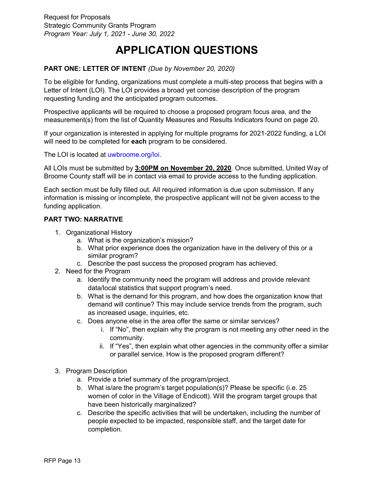## **APPLICATION QUESTIONS**

## <span id="page-12-0"></span>**PART ONE: LETTER OF INTENT** *(Due by November 20, 2020)*

To be eligible for funding, organizations must complete a multi-step process that begins with a Letter of Intent (LOI). The LOI provides a broad yet concise description of the program requesting funding and the anticipated program outcomes.

Prospective applicants will be required to choose a proposed program focus area, and the measurement(s) from the list of Quantity Measures and Results Indicators found on page 20.

If your organization is interested in applying for multiple programs for 2021-2022 funding, a LOI will need to be completed for **each** program to be considered.

The LOI is located at [uwbroome.org/loi.](http://www.uwbroome.org/loi/)

All LOIs must be submitted by **3:00PM on November 20, 2020**. Once submitted, United Way of Broome County staff will be in contact via email to provide access to the funding application.

Each section must be fully filled out. All required information is due upon submission. If any information is missing or incomplete, the prospective applicant will not be given access to the funding application.

### **PART TWO: NARRATIVE**

- 1. Organizational History
	- a. What is the organization's mission?
	- b. What prior experience does the organization have in the delivery of this or a similar program?
	- c. Describe the past success the proposed program has achieved.
- 2. Need for the Program
	- a. Identify the community need the program will address and provide relevant data/local statistics that support program's need.
	- b. What is the demand for this program, and how does the organization know that demand will continue? This may include service trends from the program, such as increased usage, inquiries, etc.
	- c. Does anyone else in the area offer the same or similar services?
		- i. If "No", then explain why the program is not meeting any other need in the community.
		- ii. If "Yes", then explain what other agencies in the community offer a similar or parallel service. How is the proposed program different?
- 3. Program Description
	- a. Provide a brief summary of the program/project.
	- b. What is/are the program's target population(s)? Please be specific (i.e. 25 women of color in the Village of Endicott). Will the program target groups that have been historically marginalized?
	- c. Describe the specific activities that will be undertaken, including the number of people expected to be impacted, responsible staff, and the target date for completion.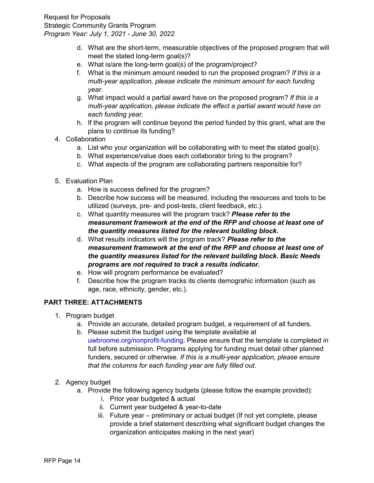- d. What are the short-term, measurable objectives of the proposed program that will meet the stated long-term goal(s)?
- e. What is/are the long-term goal(s) of the program/project?
- f. What is the minimum amount needed to run the proposed program? *If this is a multi-year application, please indicate the minimum amount for each funding year.*
- g. What impact would a partial award have on the proposed program? *If this is a multi-year application, please indicate the effect a partial award would have on each funding year.*
- h. If the program will continue beyond the period funded by this grant, what are the plans to continue its funding?
- 4. Collaboration
	- a. List who your organization will be collaborating with to meet the stated goal(s).
	- b. What experience/value does each collaborator bring to the program?
	- c. What aspects of the program are collaborating partners responsible for?
- 5. Evaluation Plan
	- a. How is success defined for the program?
	- b. Describe how success will be measured, including the resources and tools to be utilized (surveys, pre- and post-tests, client feedback, etc.).
	- c. What quantity measures will the program track? *Please refer to the measurement framework at the end of the RFP and choose at least one of the quantity measures listed for the relevant building block.*
	- d. What results indicators will the program track? *Please refer to the measurement framework at the end of the RFP and choose at least one of the quantity measures listed for the relevant building block. Basic Needs programs are not required to track a results indicator.*
	- e. How will program performance be evaluated?
	- f. Describe how the program tracks its clients demograhic information (such as age, race, ethnicity, gender, etc.).

## **PART THREE: ATTACHMENTS**

- 1. Program budget
	- a. Provide an accurate, detailed program budget, a requirement of all funders.
	- b. Please submit the budget using the template available at [uwbroome.org/nonprofit-funding.](https://www.uwbroome.org/nonprofit-funding/) Please ensure that the template is completed in full before submission. Programs applying for funding must detail other planned funders, secured or otherwise. *If this is a multi-year application, please ensure that the columns for each funding year are fully filled out.*
- 2. Agency budget
	- a. Provide the following agency budgets (please follow the example provided):
		- i. Prior year budgeted & actual
		- ii. Current year budgeted & year-to-date
		- iii. Future year preliminary or actual budget (If not yet complete, please provide a brief statement describing what significant budget changes the organization anticipates making in the next year)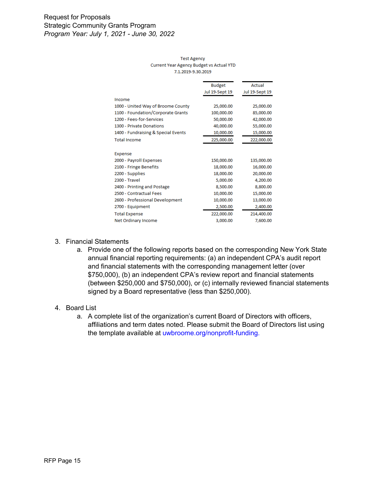#### **Test Agency** Current Year Agency Budget vs Actual YTD 7.1.2019-9.30.2019

|                                     | <b>Budget</b>  | Actual         |
|-------------------------------------|----------------|----------------|
|                                     | Jul 19-Sept 19 | Jul 19-Sept 19 |
| Income                              |                |                |
| 1000 - United Way of Broome County  | 25,000.00      | 25,000.00      |
| 1100 - Foundation/Corporate Grants  | 100,000.00     | 85,000.00      |
| 1200 - Fees-for-Services            | 50,000.00      | 42,000.00      |
| 1300 - Private Donations            | 40,000.00      | 55,000.00      |
| 1400 - Fundraising & Special Events | 10,000.00      | 15,000.00      |
| <b>Total Income</b>                 | 225,000.00     | 222,000.00     |
|                                     |                |                |
| Expense                             |                |                |
| 2000 - Payroll Expenses             | 150,000.00     | 135,000.00     |
| 2100 - Fringe Benefits              | 18,000.00      | 16,000.00      |
| 2200 - Supplies                     | 18,000.00      | 20,000.00      |
| 2300 - Travel                       | 5,000.00       | 4,200.00       |
| 2400 - Printing and Postage         | 8,500.00       | 8,800.00       |
| 2500 - Contractual Fees             | 10,000.00      | 15,000.00      |
| 2600 - Professional Development     | 10,000.00      | 13,000.00      |
| 2700 - Equipment                    | 2,500.00       | 2,400.00       |
| <b>Total Expense</b>                | 222,000.00     | 214,400.00     |
| Net Ordinary Income                 | 3,000.00       | 7,600.00       |

#### 3. Financial Statements

a. Provide one of the following reports based on the corresponding New York State annual financial reporting requirements: (a) an independent CPA's audit report and financial statements with the corresponding management letter (over \$750,000), (b) an independent CPA's review report and financial statements (between \$250,000 and \$750,000), or (c) internally reviewed financial statements signed by a Board representative (less than \$250,000).

#### 4. Board List

a. A complete list of the organization's current Board of Directors with officers, affiliations and term dates noted. Please submit the Board of Directors list using the template available at [uwbroome.org/nonprofit-funding.](https://www.uwbroome.org/nonprofit-funding/)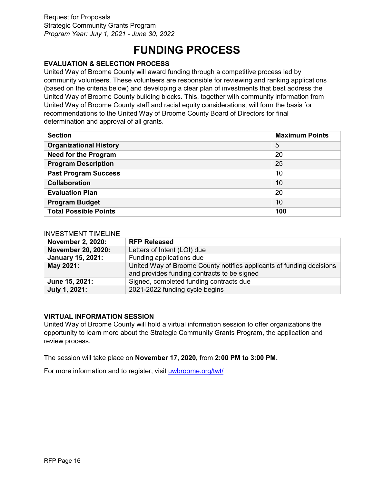## **FUNDING PROCESS**

## <span id="page-15-1"></span><span id="page-15-0"></span>**EVALUATION & SELECTION PROCESS**

United Way of Broome County will award funding through a competitive process led by community volunteers. These volunteers are responsible for reviewing and ranking applications (based on the criteria below) and developing a clear plan of investments that best address the United Way of Broome County building blocks. This, together with community information from United Way of Broome County staff and racial equity considerations, will form the basis for recommendations to the United Way of Broome County Board of Directors for final determination and approval of all grants.

| <b>Maximum Points</b><br><b>Section</b> |     |
|-----------------------------------------|-----|
| <b>Organizational History</b>           | 5   |
| <b>Need for the Program</b>             | 20  |
| <b>Program Description</b>              | 25  |
| <b>Past Program Success</b>             | 10  |
| <b>Collaboration</b>                    | 10  |
| <b>Evaluation Plan</b><br>20            |     |
| <b>Program Budget</b><br>10             |     |
| <b>Total Possible Points</b>            | 100 |

#### <span id="page-15-2"></span>INVESTMENT TIMELINE

| <b>November 2, 2020:</b> | <b>RFP Released</b>                                                                                                 |
|--------------------------|---------------------------------------------------------------------------------------------------------------------|
| November 20, 2020:       | Letters of Intent (LOI) due                                                                                         |
| <b>January 15, 2021:</b> | Funding applications due                                                                                            |
| May 2021:                | United Way of Broome County notifies applicants of funding decisions<br>and provides funding contracts to be signed |
| June 15, 2021:           | Signed, completed funding contracts due                                                                             |
| July 1, 2021:            | 2021-2022 funding cycle begins                                                                                      |

### <span id="page-15-3"></span>**VIRTUAL INFORMATION SESSION**

United Way of Broome County will hold a virtual information session to offer organizations the opportunity to learn more about the Strategic Community Grants Program, the application and review process.

The session will take place on **November 17, 2020,** from **2:00 PM to 3:00 PM.**

<span id="page-15-4"></span>For more information and to register, visit [uwbroome.org/twt/](http://www.uwbroome.org/twt/)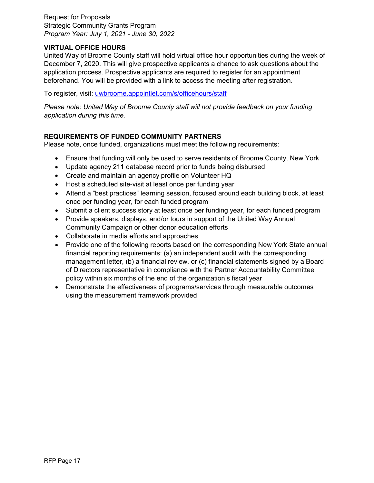### **VIRTUAL OFFICE HOURS**

United Way of Broome County staff will hold virtual office hour opportunities during the week of December 7, 2020. This will give prospective applicants a chance to ask questions about the application process. Prospective applicants are required to register for an appointment beforehand. You will be provided with a link to access the meeting after registration.

To register, visit: [uwbroome.appointlet.com/s/officehours/staff](https://uwbroome.appointlet.com/s/officehours/staff)

*Please note: United Way of Broome County staff will not provide feedback on your funding application during this time.*

## <span id="page-16-0"></span>**REQUIREMENTS OF FUNDED COMMUNITY PARTNERS**

Please note, once funded, organizations must meet the following requirements:

- Ensure that funding will only be used to serve residents of Broome County, New York
- Update agency 211 database record prior to funds being disbursed
- Create and maintain an agency profile on Volunteer HQ
- Host a scheduled site-visit at least once per funding year
- Attend a "best practices" learning session, focused around each building block, at least once per funding year, for each funded program
- Submit a client success story at least once per funding year, for each funded program
- Provide speakers, displays, and/or tours in support of the United Way Annual Community Campaign or other donor education efforts
- Collaborate in media efforts and approaches
- Provide one of the following reports based on the corresponding New York State annual financial reporting requirements: (a) an independent audit with the corresponding management letter, (b) a financial review, or (c) financial statements signed by a Board of Directors representative in compliance with the Partner Accountability Committee policy within six months of the end of the organization's fiscal year
- <span id="page-16-1"></span>• Demonstrate the effectiveness of programs/services through measurable outcomes using the measurement framework provided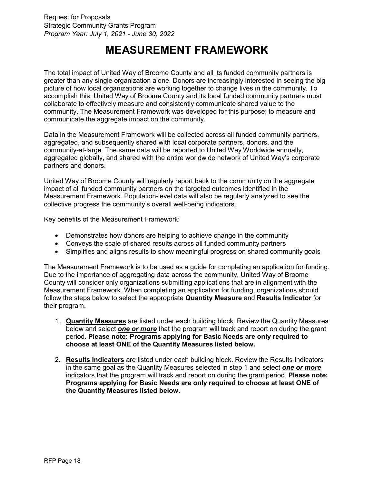## **MEASUREMENT FRAMEWORK**

The total impact of United Way of Broome County and all its funded community partners is greater than any single organization alone. Donors are increasingly interested in seeing the big picture of how local organizations are working together to change lives in the community. To accomplish this, United Way of Broome County and its local funded community partners must collaborate to effectively measure and consistently communicate shared value to the community. The Measurement Framework was developed for this purpose; to measure and communicate the aggregate impact on the community.

Data in the Measurement Framework will be collected across all funded community partners, aggregated, and subsequently shared with local corporate partners, donors, and the community-at-large. The same data will be reported to United Way Worldwide annually, aggregated globally, and shared with the entire worldwide network of United Way's corporate partners and donors.

United Way of Broome County will regularly report back to the community on the aggregate impact of all funded community partners on the targeted outcomes identified in the Measurement Framework. Population-level data will also be regularly analyzed to see the collective progress the community's overall well-being indicators.

Key benefits of the Measurement Framework:

- Demonstrates how donors are helping to achieve change in the community
- Conveys the scale of shared results across all funded community partners
- Simplifies and aligns results to show meaningful progress on shared community goals

The Measurement Framework is to be used as a guide for completing an application for funding. Due to the importance of aggregating data across the community, United Way of Broome County will consider only organizations submitting applications that are in alignment with the Measurement Framework. When completing an application for funding, organizations should follow the steps below to select the appropriate **Quantity Measure** and **Results Indicator** for their program.

- 1. **Quantity Measures** are listed under each building block. Review the Quantity Measures below and select *one or more* that the program will track and report on during the grant period. **Please note: Programs applying for Basic Needs are only required to choose at least ONE of the Quantity Measures listed below.**
- 2. **Results Indicators** are listed under each building block. Review the Results Indicators in the same goal as the Quantity Measures selected in step 1 and select *one or more* indicators that the program will track and report on during the grant period. **Please note: Programs applying for Basic Needs are only required to choose at least ONE of the Quantity Measures listed below.**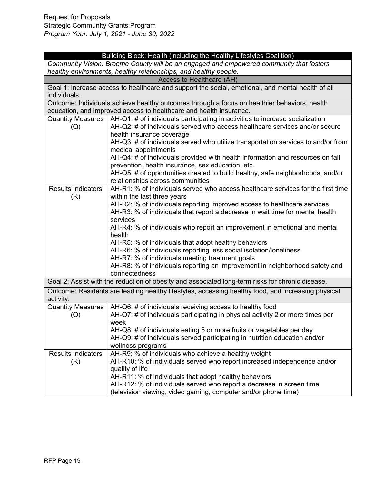| Building Block: Health (including the Healthy Lifestyles Coalition)                     |                                                                                                                                                                                                                     |  |
|-----------------------------------------------------------------------------------------|---------------------------------------------------------------------------------------------------------------------------------------------------------------------------------------------------------------------|--|
| Community Vision: Broome County will be an engaged and empowered community that fosters |                                                                                                                                                                                                                     |  |
|                                                                                         | healthy environments, healthy relationships, and healthy people.                                                                                                                                                    |  |
|                                                                                         | Access to Healthcare (AH)                                                                                                                                                                                           |  |
| individuals.                                                                            | Goal 1: Increase access to healthcare and support the social, emotional, and mental health of all                                                                                                                   |  |
|                                                                                         | Outcome: Individuals achieve healthy outcomes through a focus on healthier behaviors, health                                                                                                                        |  |
|                                                                                         | education, and improved access to healthcare and health insurance.                                                                                                                                                  |  |
| (Q)                                                                                     | Quantity Measures $\vert$ AH-Q1: # of individuals participating in activities to increase socialization<br>AH-Q2: # of individuals served who access healthcare services and/or secure<br>health insurance coverage |  |
|                                                                                         | AH-Q3: # of individuals served who utilize transportation services to and/or from<br>medical appointments                                                                                                           |  |
|                                                                                         | AH-Q4: # of individuals provided with health information and resources on fall<br>prevention, health insurance, sex education, etc.                                                                                 |  |
|                                                                                         | AH-Q5: # of opportunities created to build healthy, safe neighborhoods, and/or<br>relationships across communities                                                                                                  |  |
| <b>Results Indicators</b><br>(R)                                                        | AH-R1: % of individuals served who access healthcare services for the first time<br>within the last three years                                                                                                     |  |
|                                                                                         | AH-R2: % of individuals reporting improved access to healthcare services                                                                                                                                            |  |
|                                                                                         | AH-R3: % of individuals that report a decrease in wait time for mental health<br>services                                                                                                                           |  |
|                                                                                         | AH-R4: % of individuals who report an improvement in emotional and mental<br>health                                                                                                                                 |  |
|                                                                                         | AH-R5: % of individuals that adopt healthy behaviors                                                                                                                                                                |  |
|                                                                                         | AH-R6: % of individuals reporting less social isolation/loneliness                                                                                                                                                  |  |
|                                                                                         | AH-R7: % of individuals meeting treatment goals                                                                                                                                                                     |  |
|                                                                                         | AH-R8: % of individuals reporting an improvement in neighborhood safety and<br>connectedness                                                                                                                        |  |
|                                                                                         | Goal 2: Assist with the reduction of obesity and associated long-term risks for chronic disease.                                                                                                                    |  |
|                                                                                         | Outcome: Residents are leading healthy lifestyles, accessing healthy food, and increasing physical                                                                                                                  |  |
| activity.                                                                               |                                                                                                                                                                                                                     |  |
| <b>Quantity Measures</b>                                                                | AH-Q6: # of individuals receiving access to healthy food                                                                                                                                                            |  |
| (Q)                                                                                     | AH-Q7: # of individuals participating in physical activity 2 or more times per<br>week                                                                                                                              |  |
|                                                                                         | AH-Q8: # of individuals eating 5 or more fruits or vegetables per day                                                                                                                                               |  |
|                                                                                         | AH-Q9: # of individuals served participating in nutrition education and/or                                                                                                                                          |  |
|                                                                                         | wellness programs                                                                                                                                                                                                   |  |
| <b>Results Indicators</b>                                                               | AH-R9: % of individuals who achieve a healthy weight                                                                                                                                                                |  |
| (R)                                                                                     | AH-R10: % of individuals served who report increased independence and/or                                                                                                                                            |  |
|                                                                                         | quality of life                                                                                                                                                                                                     |  |
|                                                                                         | AH-R11: % of individuals that adopt healthy behaviors                                                                                                                                                               |  |
|                                                                                         | AH-R12: % of individuals served who report a decrease in screen time                                                                                                                                                |  |
|                                                                                         | (television viewing, video gaming, computer and/or phone time)                                                                                                                                                      |  |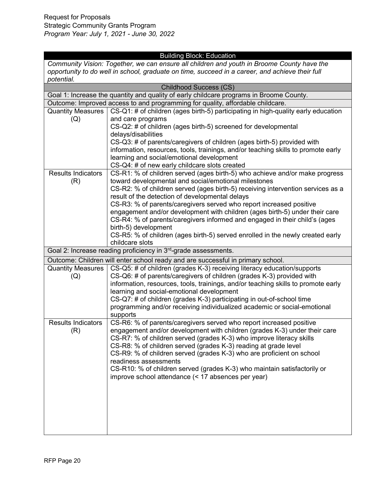## Building Block: Education

*Community Vision: Together, we can ensure all children and youth in Broome County have the opportunity to do well in school, graduate on time, succeed in a career, and achieve their full potential.* 

| <b>Childhood Success (CS)</b>                                                           |                                                                                                                                                                                                                                                                                                                                                                             |  |
|-----------------------------------------------------------------------------------------|-----------------------------------------------------------------------------------------------------------------------------------------------------------------------------------------------------------------------------------------------------------------------------------------------------------------------------------------------------------------------------|--|
| Goal 1: Increase the quantity and quality of early childcare programs in Broome County. |                                                                                                                                                                                                                                                                                                                                                                             |  |
|                                                                                         | Outcome: Improved access to and programming for quality, affordable childcare.                                                                                                                                                                                                                                                                                              |  |
| <b>Quantity Measures</b>                                                                | CS-Q1: # of children (ages birth-5) participating in high-quality early education                                                                                                                                                                                                                                                                                           |  |
| (Q)                                                                                     | and care programs                                                                                                                                                                                                                                                                                                                                                           |  |
|                                                                                         | CS-Q2: # of children (ages birth-5) screened for developmental                                                                                                                                                                                                                                                                                                              |  |
|                                                                                         | delays/disabilities                                                                                                                                                                                                                                                                                                                                                         |  |
|                                                                                         | CS-Q3: # of parents/caregivers of children (ages birth-5) provided with                                                                                                                                                                                                                                                                                                     |  |
|                                                                                         | information, resources, tools, trainings, and/or teaching skills to promote early                                                                                                                                                                                                                                                                                           |  |
|                                                                                         | learning and social/emotional development                                                                                                                                                                                                                                                                                                                                   |  |
|                                                                                         | CS-Q4: # of new early childcare slots created                                                                                                                                                                                                                                                                                                                               |  |
| <b>Results Indicators</b>                                                               | CS-R1: % of children served (ages birth-5) who achieve and/or make progress                                                                                                                                                                                                                                                                                                 |  |
| (R)                                                                                     | toward developmental and social/emotional milestones                                                                                                                                                                                                                                                                                                                        |  |
|                                                                                         | CS-R2: % of children served (ages birth-5) receiving intervention services as a                                                                                                                                                                                                                                                                                             |  |
|                                                                                         | result of the detection of developmental delays                                                                                                                                                                                                                                                                                                                             |  |
|                                                                                         | CS-R3: % of parents/caregivers served who report increased positive                                                                                                                                                                                                                                                                                                         |  |
|                                                                                         | engagement and/or development with children (ages birth-5) under their care                                                                                                                                                                                                                                                                                                 |  |
|                                                                                         | CS-R4: % of parents/caregivers informed and engaged in their child's (ages                                                                                                                                                                                                                                                                                                  |  |
|                                                                                         | birth-5) development                                                                                                                                                                                                                                                                                                                                                        |  |
|                                                                                         | CS-R5: % of children (ages birth-5) served enrolled in the newly created early<br>childcare slots                                                                                                                                                                                                                                                                           |  |
|                                                                                         | Goal 2: Increase reading proficiency in 3 <sup>rd</sup> -grade assessments.                                                                                                                                                                                                                                                                                                 |  |
|                                                                                         |                                                                                                                                                                                                                                                                                                                                                                             |  |
|                                                                                         | Outcome: Children will enter school ready and are successful in primary school.                                                                                                                                                                                                                                                                                             |  |
| <b>Quantity Measures</b>                                                                | CS-Q5: # of children (grades K-3) receiving literacy education/supports                                                                                                                                                                                                                                                                                                     |  |
| (Q)                                                                                     | CS-Q6: # of parents/caregivers of children (grades K-3) provided with                                                                                                                                                                                                                                                                                                       |  |
|                                                                                         | information, resources, tools, trainings, and/or teaching skills to promote early<br>learning and social-emotional development                                                                                                                                                                                                                                              |  |
|                                                                                         | CS-Q7: # of children (grades K-3) participating in out-of-school time                                                                                                                                                                                                                                                                                                       |  |
|                                                                                         | programming and/or receiving individualized academic or social-emotional                                                                                                                                                                                                                                                                                                    |  |
|                                                                                         | supports                                                                                                                                                                                                                                                                                                                                                                    |  |
| <b>Results Indicators</b>                                                               | CS-R6: % of parents/caregivers served who report increased positive                                                                                                                                                                                                                                                                                                         |  |
| (R)                                                                                     | engagement and/or development with children (grades K-3) under their care                                                                                                                                                                                                                                                                                                   |  |
|                                                                                         |                                                                                                                                                                                                                                                                                                                                                                             |  |
|                                                                                         |                                                                                                                                                                                                                                                                                                                                                                             |  |
|                                                                                         |                                                                                                                                                                                                                                                                                                                                                                             |  |
|                                                                                         |                                                                                                                                                                                                                                                                                                                                                                             |  |
|                                                                                         |                                                                                                                                                                                                                                                                                                                                                                             |  |
|                                                                                         |                                                                                                                                                                                                                                                                                                                                                                             |  |
|                                                                                         |                                                                                                                                                                                                                                                                                                                                                                             |  |
|                                                                                         |                                                                                                                                                                                                                                                                                                                                                                             |  |
|                                                                                         |                                                                                                                                                                                                                                                                                                                                                                             |  |
|                                                                                         |                                                                                                                                                                                                                                                                                                                                                                             |  |
|                                                                                         |                                                                                                                                                                                                                                                                                                                                                                             |  |
|                                                                                         |                                                                                                                                                                                                                                                                                                                                                                             |  |
|                                                                                         | CS-R7: % of children served (grades K-3) who improve literacy skills<br>CS-R8: % of children served (grades K-3) reading at grade level<br>CS-R9: % of children served (grades K-3) who are proficient on school<br>readiness assessments<br>CS-R10: % of children served (grades K-3) who maintain satisfactorily or<br>improve school attendance (< 17 absences per year) |  |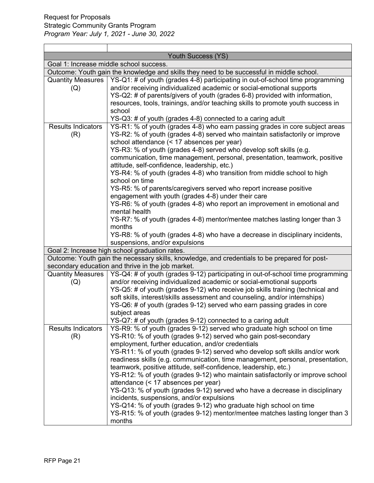|                                 | Youth Success (YS)                                                                                                                                      |
|---------------------------------|---------------------------------------------------------------------------------------------------------------------------------------------------------|
|                                 | Goal 1: Increase middle school success.                                                                                                                 |
|                                 | Outcome: Youth gain the knowledge and skills they need to be successful in middle school.                                                               |
| <b>Quantity Measures</b><br>(Q) | YS-Q1: # of youth (grades 4-8) participating in out-of-school time programming<br>and/or receiving individualized academic or social-emotional supports |
|                                 | YS-Q2: # of parents/givers of youth (grades 6-8) provided with information,                                                                             |
|                                 | resources, tools, trainings, and/or teaching skills to promote youth success in                                                                         |
|                                 | school                                                                                                                                                  |
|                                 | YS-Q3: # of youth (grades 4-8) connected to a caring adult                                                                                              |
| <b>Results Indicators</b>       | YS-R1: % of youth (grades 4-8) who earn passing grades in core subject areas                                                                            |
| (R)                             | YS-R2: % of youth (grades 4-8) served who maintain satisfactorily or improve                                                                            |
|                                 | school attendance (< 17 absences per year)                                                                                                              |
|                                 | YS-R3: % of youth (grades 4-8) served who develop soft skills (e.g.                                                                                     |
|                                 | communication, time management, personal, presentation, teamwork, positive                                                                              |
|                                 | attitude, self-confidence, leadership, etc.)                                                                                                            |
|                                 | YS-R4: % of youth (grades 4-8) who transition from middle school to high<br>school on time                                                              |
|                                 | YS-R5: % of parents/caregivers served who report increase positive                                                                                      |
|                                 | engagement with youth (grades 4-8) under their care                                                                                                     |
|                                 | YS-R6: % of youth (grades 4-8) who report an improvement in emotional and                                                                               |
|                                 | mental health                                                                                                                                           |
|                                 | YS-R7: % of youth (grades 4-8) mentor/mentee matches lasting longer than 3                                                                              |
|                                 | months                                                                                                                                                  |
|                                 | YS-R8: % of youth (grades 4-8) who have a decrease in disciplinary incidents,                                                                           |
|                                 | suspensions, and/or expulsions                                                                                                                          |
|                                 | Goal 2: Increase high school graduation rates.                                                                                                          |
|                                 | Outcome: Youth gain the necessary skills, knowledge, and credentials to be prepared for post-                                                           |
|                                 | secondary education and thrive in the job market.                                                                                                       |
| <b>Quantity Measures</b>        | YS-Q4: # of youth (grades 9-12) participating in out-of-school time programming                                                                         |
| (Q)                             | and/or receiving individualized academic or social-emotional supports                                                                                   |
|                                 | YS-Q5: # of youth (grades 9-12) who receive job skills training (technical and                                                                          |
|                                 | soft skills, interest/skills assessment and counseling, and/or internships)                                                                             |
|                                 | YS-Q6: # of youth (grades 9-12) served who earn passing grades in core                                                                                  |
|                                 | subject areas                                                                                                                                           |
| <b>Results Indicators</b>       | YS-Q7: # of youth (grades 9-12) connected to a caring adult<br>YS-R9: % of youth (grades 9-12) served who graduate high school on time                  |
| (R)                             | YS-R10: % of youth (grades 9-12) served who gain post-secondary                                                                                         |
|                                 | employment, further education, and/or credentials                                                                                                       |
|                                 | YS-R11: % of youth (grades 9-12) served who develop soft skills and/or work                                                                             |
|                                 | readiness skills (e.g. communication, time management, personal, presentation,                                                                          |
|                                 | teamwork, positive attitude, self-confidence, leadership, etc.)                                                                                         |
|                                 | YS-R12: % of youth (grades 9-12) who maintain satisfactorily or improve school                                                                          |
|                                 | attendance (< 17 absences per year)                                                                                                                     |
|                                 | YS-Q13: % of youth (grades 9-12) served who have a decrease in disciplinary                                                                             |
|                                 | incidents, suspensions, and/or expulsions                                                                                                               |
|                                 | YS-Q14: % of youth (grades 9-12) who graduate high school on time                                                                                       |
|                                 | YS-R15: % of youth (grades 9-12) mentor/mentee matches lasting longer than 3                                                                            |
|                                 | months                                                                                                                                                  |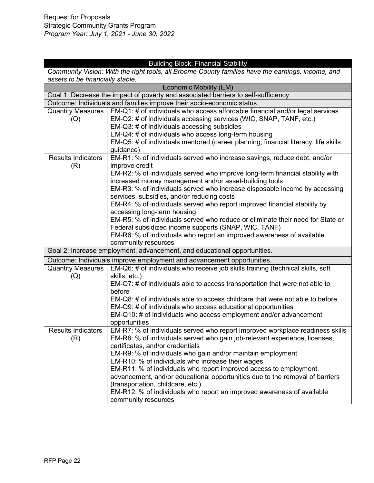|                                                                                                   | <b>Building Block: Financial Stability</b>                                          |  |
|---------------------------------------------------------------------------------------------------|-------------------------------------------------------------------------------------|--|
| Community Vision: With the right tools, all Broome County families have the earnings, income, and |                                                                                     |  |
| assets to be financially stable.                                                                  |                                                                                     |  |
|                                                                                                   | <b>Economic Mobility (EM)</b>                                                       |  |
|                                                                                                   | Goal 1: Decrease the impact of poverty and associated barriers to self-sufficiency. |  |
|                                                                                                   | Outcome: Individuals and families improve their socio-economic status.              |  |
| <b>Quantity Measures</b>                                                                          | EM-Q1: # of individuals who access affordable financial and/or legal services       |  |
| (Q)                                                                                               | EM-Q2: # of individuals accessing services (WIC, SNAP, TANF, etc.)                  |  |
|                                                                                                   | EM-Q3: # of individuals accessing subsidies                                         |  |
|                                                                                                   | EM-Q4: # of individuals who access long-term housing                                |  |
|                                                                                                   | EM-Q5: # of individuals mentored (career planning, financial literacy, life skills  |  |
|                                                                                                   | guidance)                                                                           |  |
| <b>Results Indicators</b>                                                                         | EM-R1: % of individuals served who increase savings, reduce debt, and/or            |  |
| (R)                                                                                               | improve credit                                                                      |  |
|                                                                                                   | EM-R2: % of individuals served who improve long-term financial stability with       |  |
|                                                                                                   | increased money management and/or asset-building tools                              |  |
|                                                                                                   | EM-R3: % of individuals served who increase disposable income by accessing          |  |
|                                                                                                   | services, subsidies, and/or reducing costs                                          |  |
|                                                                                                   | EM-R4: % of individuals served who report improved financial stability by           |  |
|                                                                                                   | accessing long-term housing                                                         |  |
|                                                                                                   | EM-R5: % of individuals served who reduce or eliminate their need for State or      |  |
|                                                                                                   | Federal subsidized income supports (SNAP, WIC, TANF)                                |  |
|                                                                                                   | EM-R6: % of individuals who report an improved awareness of available               |  |
|                                                                                                   | community resources                                                                 |  |
|                                                                                                   | Goal 2: Increase employment, advancement, and educational opportunities.            |  |
|                                                                                                   | Outcome: Individuals improve employment and advancement opportunities.              |  |
| <b>Quantity Measures</b>                                                                          | EM-Q6: # of individuals who receive job skills training (technical skills, soft     |  |
| (Q)                                                                                               | skills, etc.)                                                                       |  |
|                                                                                                   | EM-Q7: # of individuals able to access transportation that were not able to         |  |
|                                                                                                   | before                                                                              |  |
|                                                                                                   | EM-Q8: # of individuals able to access childcare that were not able to before       |  |
|                                                                                                   | EM-Q9: # of individuals who access educational opportunities                        |  |
|                                                                                                   | EM-Q10: # of individuals who access employment and/or advancement                   |  |
|                                                                                                   | opportunities                                                                       |  |
| <b>Results Indicators</b>                                                                         | EM-R7: % of individuals served who report improved workplace readiness skills       |  |
| (R)                                                                                               | EM-R8: % of individuals served who gain job-relevant experience, licenses,          |  |
|                                                                                                   | certificates, and/or credentials                                                    |  |
|                                                                                                   | EM-R9: % of individuals who gain and/or maintain employment                         |  |
|                                                                                                   | EM-R10: % of individuals who increase their wages                                   |  |
|                                                                                                   | EM-R11: % of individuals who report improved access to employment,                  |  |
|                                                                                                   | advancement, and/or educational opportunities due to the removal of barriers        |  |
|                                                                                                   | (transportation, childcare, etc.)                                                   |  |
|                                                                                                   | EM-R12: % of individuals who report an improved awareness of available              |  |
|                                                                                                   | community resources                                                                 |  |